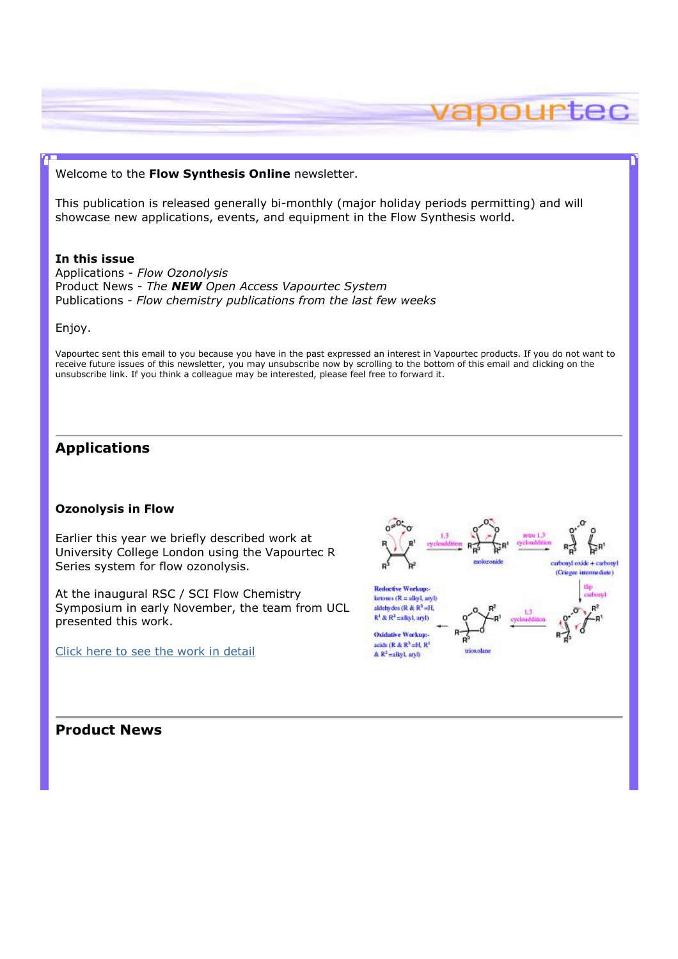#### Welcome to the Flow Synthesis Online newsletter.

This publication is released generally bi-monthly (major holiday periods permitting) and will showcase new applications, events, and equipment in the Flow Synthesis world.

#### In this issue

Applications - Flow Ozonolysis Product News - The **NEW** Open Access Vapourtec System Publications - Flow chemistry publications from the last few weeks

Enjoy.

Vapourtec sent this email to you because you have in the past expressed an interest in Vapourtec products. If you do not want to receive future issues of this newsletter, you may unsubscribe now by scrolling to the bottom of this email and clicking on the unsubscribe link. If you think a colleague may be interested, please feel free to forward it.

## Applications

#### Ozonolysis in Flow

Earlier this year we briefly described work at University College London using the Vapourtec R Series system for flow ozonolysis.

At the inaugural RSC / SCI Flow Chemistry Symposium in early November, the team from UCL presented this work.

Click here to see the work in detail



pourtec

Product News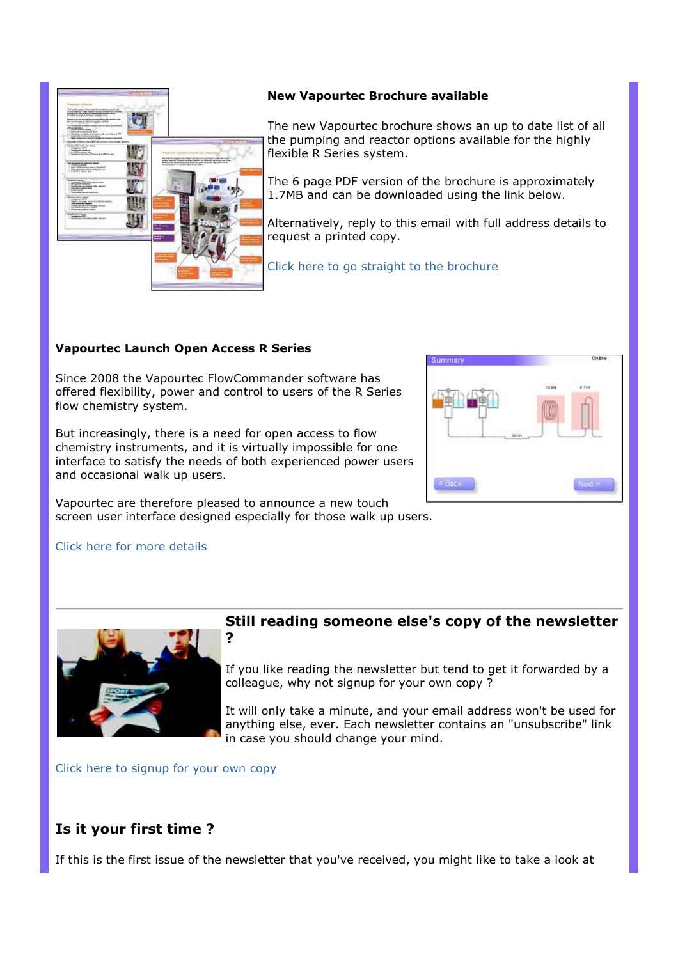

### New Vapourtec Brochure available

The new Vapourtec brochure shows an up to date list of all the pumping and reactor options available for the highly flexible R Series system.

The 6 page PDF version of the brochure is approximately 1.7MB and can be downloaded using the link below.

Alternatively, reply to this email with full address details to request a printed copy.

Click here to go straight to the brochure

## Vapourtec Launch Open Access R Series

Since 2008 the Vapourtec FlowCommander software has offered flexibility, power and control to users of the R Series flow chemistry system.

But increasingly, there is a need for open access to flow chemistry instruments, and it is virtually impossible for one interface to satisfy the needs of both experienced power users and occasional walk up users.

Summan - Frank

Vapourtec are therefore pleased to announce a new touch screen user interface designed especially for those walk up users.

### Click here for more details



# Still reading someone else's copy of the newsletter

If you like reading the newsletter but tend to get it forwarded by a colleague, why not signup for your own copy ?

It will only take a minute, and your email address won't be used for anything else, ever. Each newsletter contains an "unsubscribe" link in case you should change your mind.

Click here to signup for your own copy

# Is it your first time ?

If this is the first issue of the newsletter that you've received, you might like to take a look at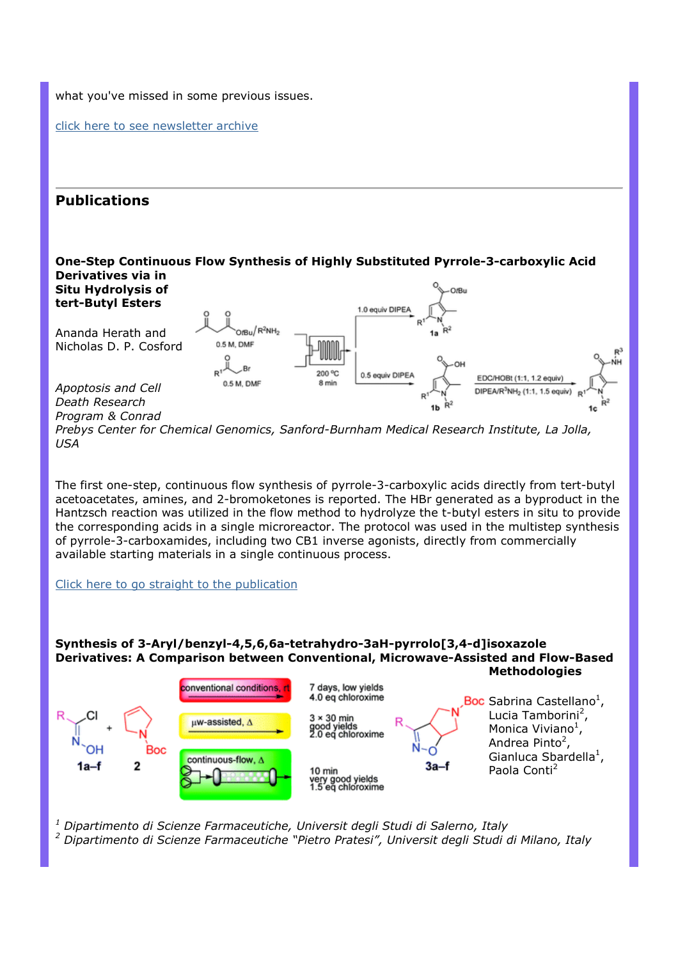what you've missed in some previous issues.

click here to see newsletter archive

# Publications



Prebys Center for Chemical Genomics, Sanford-Burnham Medical Research Institute, La Jolla, USA

The first one-step, continuous flow synthesis of pyrrole-3-carboxylic acids directly from tert-butyl acetoacetates, amines, and 2-bromoketones is reported. The HBr generated as a byproduct in the Hantzsch reaction was utilized in the flow method to hydrolyze the t-butyl esters in situ to provide the corresponding acids in a single microreactor. The protocol was used in the multistep synthesis of pyrrole-3-carboxamides, including two CB1 inverse agonists, directly from commercially available starting materials in a single continuous process.

Click here to go straight to the publication

#### Synthesis of 3-Aryl/benzyl-4,5,6,6a-tetrahydro-3aH-pyrrolo[3,4-d]isoxazole Derivatives: A Comparison between Conventional, Microwave-Assisted and Flow-Based **Methodologies**



<sup>1</sup> Dipartimento di Scienze Farmaceutiche, Universit degli Studi di Salerno, Italy <sup>2</sup> Dipartimento di Scienze Farmaceutiche "Pietro Pratesi", Universit degli Studi di Milano, Italy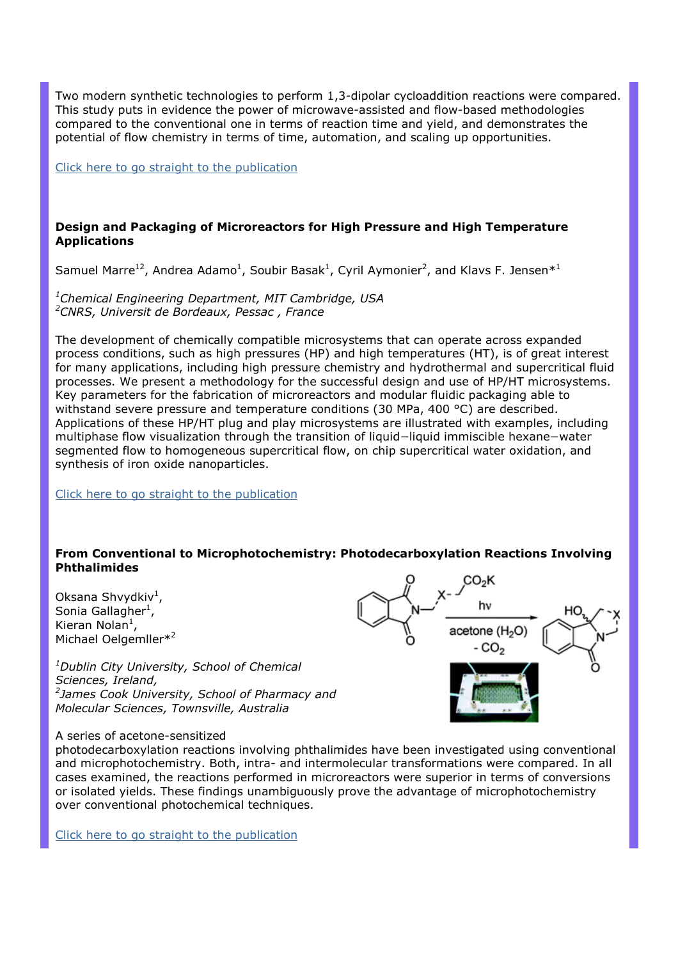Two modern synthetic technologies to perform 1,3-dipolar cycloaddition reactions were compared. This study puts in evidence the power of microwave-assisted and flow-based methodologies compared to the conventional one in terms of reaction time and yield, and demonstrates the potential of flow chemistry in terms of time, automation, and scaling up opportunities.

Click here to go straight to the publication

## Design and Packaging of Microreactors for High Pressure and High Temperature Applications

Samuel Marre<sup>12</sup>, Andrea Adamo<sup>1</sup>, Soubir Basak<sup>1</sup>, Cyril Aymonier<sup>2</sup>, and Klavs F. Jensen\*<sup>1</sup>

<sup>1</sup>Chemical Engineering Department, MIT Cambridge, USA <sup>2</sup>CNRS, Universit de Bordeaux, Pessac, France

The development of chemically compatible microsystems that can operate across expanded process conditions, such as high pressures (HP) and high temperatures (HT), is of great interest for many applications, including high pressure chemistry and hydrothermal and supercritical fluid processes. We present a methodology for the successful design and use of HP/HT microsystems. Key parameters for the fabrication of microreactors and modular fluidic packaging able to withstand severe pressure and temperature conditions (30 MPa, 400 °C) are described. Applications of these HP/HT plug and play microsystems are illustrated with examples, including multiphase flow visualization through the transition of liquid−liquid immiscible hexane−water segmented flow to homogeneous supercritical flow, on chip supercritical water oxidation, and synthesis of iron oxide nanoparticles.

Click here to go straight to the publication

### From Conventional to Microphotochemistry: Photodecarboxylation Reactions Involving Phthalimides

Oksana Shvydkiv<sup>1</sup>, Sonia Gallagher<sup>1</sup>, Kieran Nolan<sup>1</sup>, Michael Oelgemller\*<sup>2</sup>

 $1$ Dublin City University, School of Chemical Sciences, Ireland, <sup>2</sup>James Cook University, School of Pharmacy and Molecular Sciences, Townsville, Australia

#### A series of acetone-sensitized

photodecarboxylation reactions involving phthalimides have been investigated using conventional and microphotochemistry. Both, intra- and intermolecular transformations were compared. In all cases examined, the reactions performed in microreactors were superior in terms of conversions or isolated yields. These findings unambiguously prove the advantage of microphotochemistry over conventional photochemical techniques.

Click here to go straight to the publication

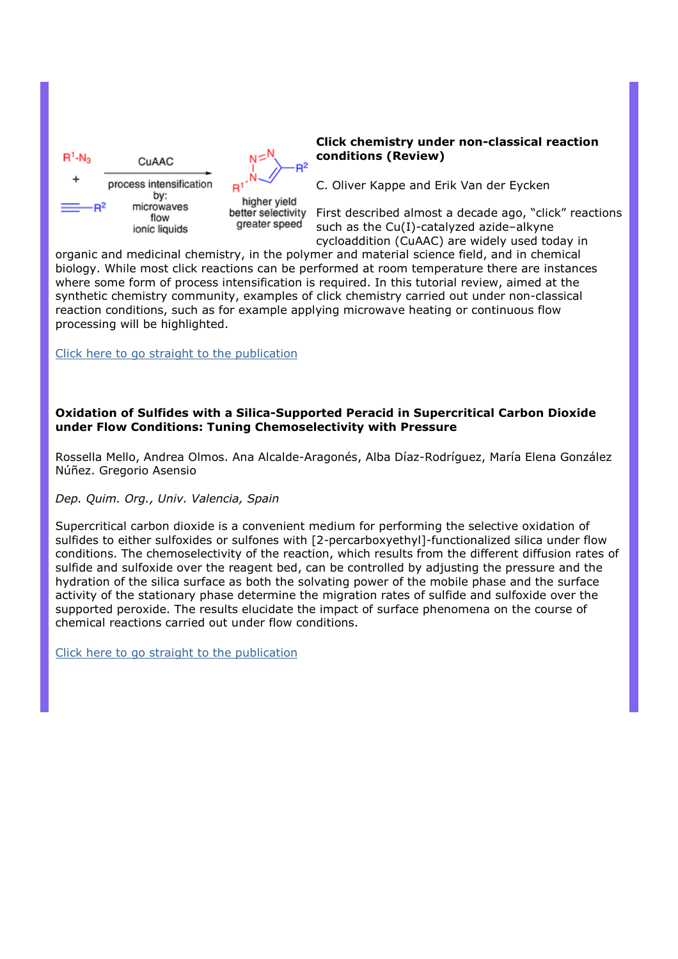



better selectivity greater speed

#### Click chemistry under non-classical reaction conditions (Review)

C. Oliver Kappe and Erik Van der Eycken

First described almost a decade ago, "click" reactions such as the Cu(I)-catalyzed azide–alkyne cycloaddition (CuAAC) are widely used today in

organic and medicinal chemistry, in the polymer and material science field, and in chemical biology. While most click reactions can be performed at room temperature there are instances where some form of process intensification is required. In this tutorial review, aimed at the synthetic chemistry community, examples of click chemistry carried out under non-classical reaction conditions, such as for example applying microwave heating or continuous flow processing will be highlighted.

Click here to go straight to the publication

### Oxidation of Sulfides with a Silica-Supported Peracid in Supercritical Carbon Dioxide under Flow Conditions: Tuning Chemoselectivity with Pressure

Rossella Mello, Andrea Olmos. Ana Alcalde-Aragonés, Alba Díaz-Rodríguez, María Elena González Núñez. Gregorio Asensio

### Dep. Quim. Org., Univ. Valencia, Spain

Supercritical carbon dioxide is a convenient medium for performing the selective oxidation of sulfides to either sulfoxides or sulfones with [2-percarboxyethyl]-functionalized silica under flow conditions. The chemoselectivity of the reaction, which results from the different diffusion rates of sulfide and sulfoxide over the reagent bed, can be controlled by adjusting the pressure and the hydration of the silica surface as both the solvating power of the mobile phase and the surface activity of the stationary phase determine the migration rates of sulfide and sulfoxide over the supported peroxide. The results elucidate the impact of surface phenomena on the course of chemical reactions carried out under flow conditions.

Click here to go straight to the publication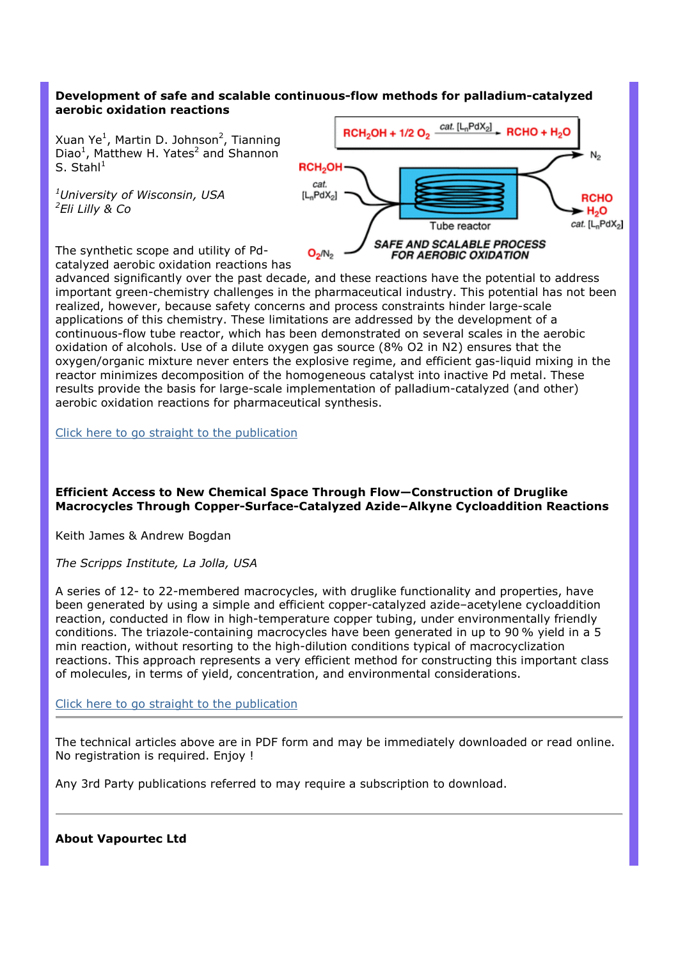## Development of safe and scalable continuous-flow methods for palladium-catalyzed aerobic oxidation reactions

Xuan Ye<sup>1</sup>, Martin D. Johnson<sup>2</sup>, Tianning Diao<sup>1</sup>, Matthew H. Yates<sup>2</sup> and Shannon S. Stahl $1$ 

 $^1$ University of Wisconsin, USA  $2$ Eli Lilly & Co



The synthetic scope and utility of Pdcatalyzed aerobic oxidation reactions has

advanced significantly over the past decade, and these reactions have the potential to address important green-chemistry challenges in the pharmaceutical industry. This potential has not been realized, however, because safety concerns and process constraints hinder large-scale applications of this chemistry. These limitations are addressed by the development of a continuous-flow tube reactor, which has been demonstrated on several scales in the aerobic oxidation of alcohols. Use of a dilute oxygen gas source (8% O2 in N2) ensures that the oxygen/organic mixture never enters the explosive regime, and efficient gas-liquid mixing in the reactor minimizes decomposition of the homogeneous catalyst into inactive Pd metal. These results provide the basis for large-scale implementation of palladium-catalyzed (and other) aerobic oxidation reactions for pharmaceutical synthesis.

Click here to go straight to the publication

#### Efficient Access to New Chemical Space Through Flow—Construction of Druglike Macrocycles Through Copper-Surface-Catalyzed Azide–Alkyne Cycloaddition Reactions

Keith James & Andrew Bogdan

The Scripps Institute, La Jolla, USA

A series of 12- to 22-membered macrocycles, with druglike functionality and properties, have been generated by using a simple and efficient copper-catalyzed azide–acetylene cycloaddition reaction, conducted in flow in high-temperature copper tubing, under environmentally friendly conditions. The triazole-containing macrocycles have been generated in up to 90 % yield in a 5 min reaction, without resorting to the high-dilution conditions typical of macrocyclization reactions. This approach represents a very efficient method for constructing this important class of molecules, in terms of yield, concentration, and environmental considerations.

Click here to go straight to the publication

The technical articles above are in PDF form and may be immediately downloaded or read online. No registration is required. Enjoy !

Any 3rd Party publications referred to may require a subscription to download.

#### About Vapourtec Ltd